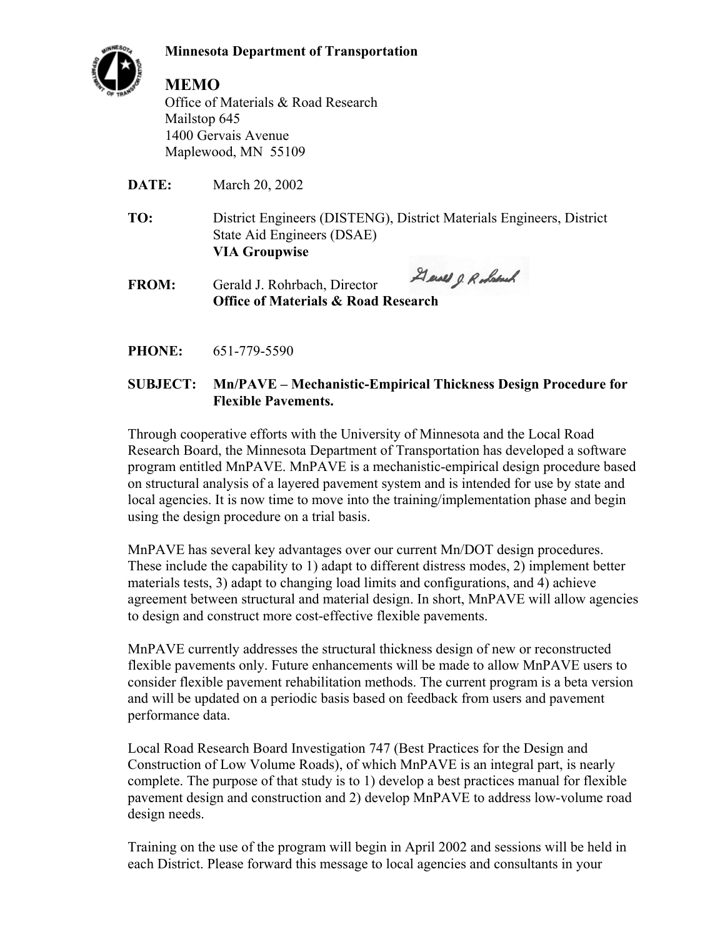**Minnesota Department of Transportation**



## **MEMO**

Office of Materials & Road Research Mailstop 645 1400 Gervais Avenue Maplewood, MN 55109

**DATE:** March 20, 2002

- **TO:** District Engineers (DISTENG), District Materials Engineers, District State Aid Engineers (DSAE)  **VIA Groupwise**
- Gener J. Robert **FROM:** Gerald J. Rohrbach, Director **Office of Materials & Road Research**
- **PHONE:** 651-779-5590

### **SUBJECT: Mn/PAVE – Mechanistic-Empirical Thickness Design Procedure for Flexible Pavements.**

Through cooperative efforts with the University of Minnesota and the Local Road Research Board, the Minnesota Department of Transportation has developed a software program entitled MnPAVE. MnPAVE is a mechanistic-empirical design procedure based on structural analysis of a layered pavement system and is intended for use by state and local agencies. It is now time to move into the training/implementation phase and begin using the design procedure on a trial basis.

MnPAVE has several key advantages over our current Mn/DOT design procedures. These include the capability to 1) adapt to different distress modes, 2) implement better materials tests, 3) adapt to changing load limits and configurations, and 4) achieve agreement between structural and material design. In short, MnPAVE will allow agencies to design and construct more cost-effective flexible pavements.

MnPAVE currently addresses the structural thickness design of new or reconstructed flexible pavements only. Future enhancements will be made to allow MnPAVE users to consider flexible pavement rehabilitation methods. The current program is a beta version and will be updated on a periodic basis based on feedback from users and pavement performance data.

Local Road Research Board Investigation 747 (Best Practices for the Design and Construction of Low Volume Roads), of which MnPAVE is an integral part, is nearly complete. The purpose of that study is to 1) develop a best practices manual for flexible pavement design and construction and 2) develop MnPAVE to address low-volume road design needs.

Training on the use of the program will begin in April 2002 and sessions will be held in each District. Please forward this message to local agencies and consultants in your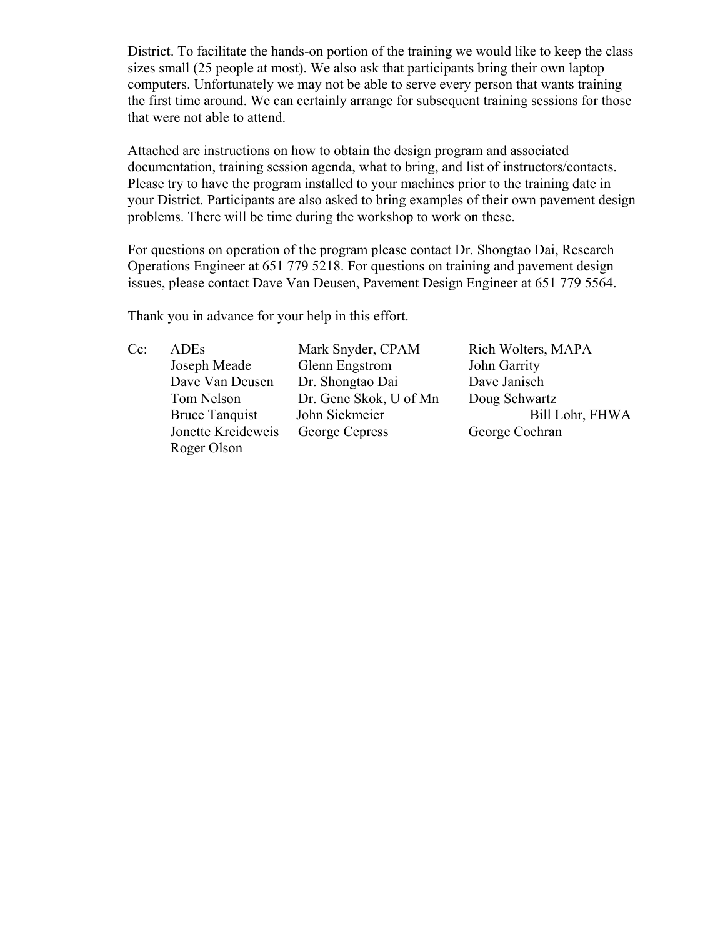District. To facilitate the hands-on portion of the training we would like to keep the class sizes small (25 people at most). We also ask that participants bring their own laptop computers. Unfortunately we may not be able to serve every person that wants training the first time around. We can certainly arrange for subsequent training sessions for those that were not able to attend.

Attached are instructions on how to obtain the design program and associated documentation, training session agenda, what to bring, and list of instructors/contacts. Please try to have the program installed to your machines prior to the training date in your District. Participants are also asked to bring examples of their own pavement design problems. There will be time during the workshop to work on these.

For questions on operation of the program please contact Dr. Shongtao Dai, Research Operations Engineer at 651 779 5218. For questions on training and pavement design issues, please contact Dave Van Deusen, Pavement Design Engineer at 651 779 5564.

Thank you in advance for your help in this effort.

Roger Olson

Cc: ADEs Mark Snyder, CPAM Rich Wolters, MAPA Joseph Meade Glenn Engstrom John Garrity Dave Van Deusen Dr. Shongtao Dai Dave Janisch Tom Nelson Dr. Gene Skok, U of Mn Doug Schwartz Jonette Kreideweis George Cepress George Cochran

Bruce Tanquist John Siekmeier Bill Lohr, FHWA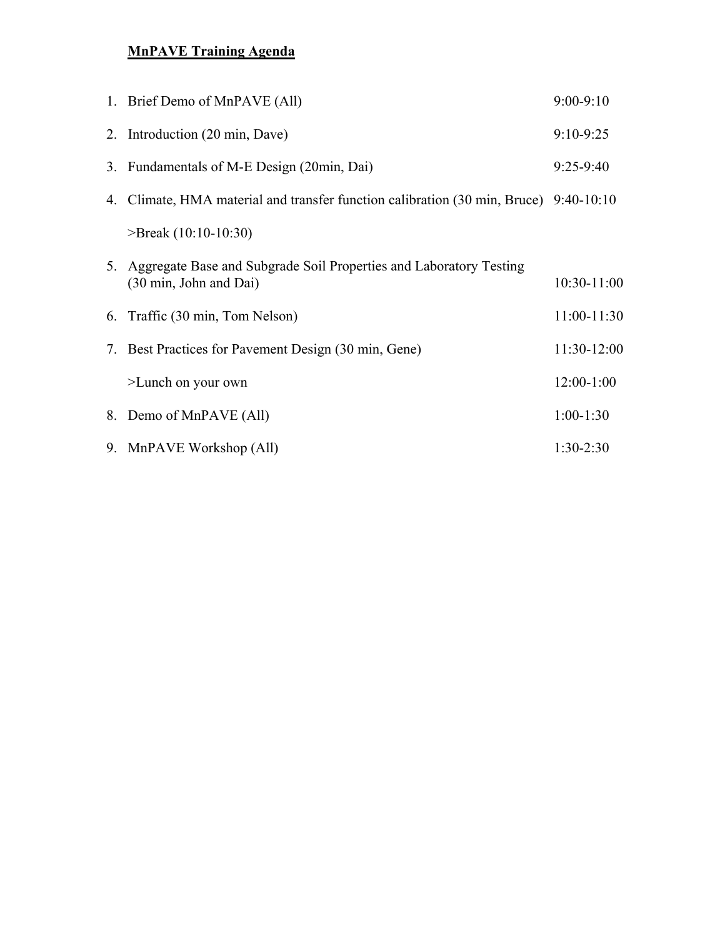# **MnPAVE Training Agenda**

| 1. Brief Demo of MnPAVE (All)                                                                   | $9:00-9:10$   |
|-------------------------------------------------------------------------------------------------|---------------|
| 2. Introduction (20 min, Dave)                                                                  | $9:10-9:25$   |
| 3. Fundamentals of M-E Design (20min, Dai)                                                      | $9:25-9:40$   |
| 4. Climate, HMA material and transfer function calibration (30 min, Bruce) 9:40-10:10           |               |
| $\text{P}$ Freak (10:10-10:30)                                                                  |               |
| 5. Aggregate Base and Subgrade Soil Properties and Laboratory Testing<br>(30 min, John and Dai) | $10:30-11:00$ |
| 6. Traffic (30 min, Tom Nelson)                                                                 | $11:00-11:30$ |
| 7. Best Practices for Pavement Design (30 min, Gene)                                            | $11:30-12:00$ |
| >Lunch on your own                                                                              | $12:00-1:00$  |
| 8. Demo of MnPAVE (All)                                                                         | $1:00-1:30$   |
| 9. MnPAVE Workshop (All)                                                                        | $1:30-2:30$   |